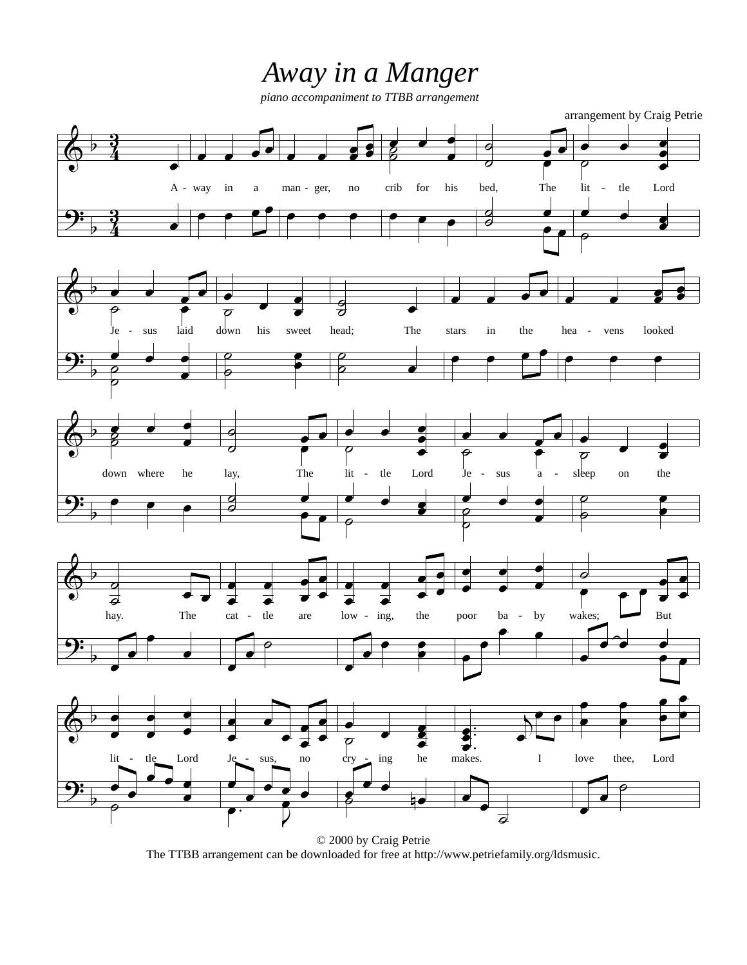## *Away in a Manger*

*piano accompaniment to TTBB arrangement*



The TTBB arrangement can be downloaded for free at http://www.petriefamily.org/ldsmusic.